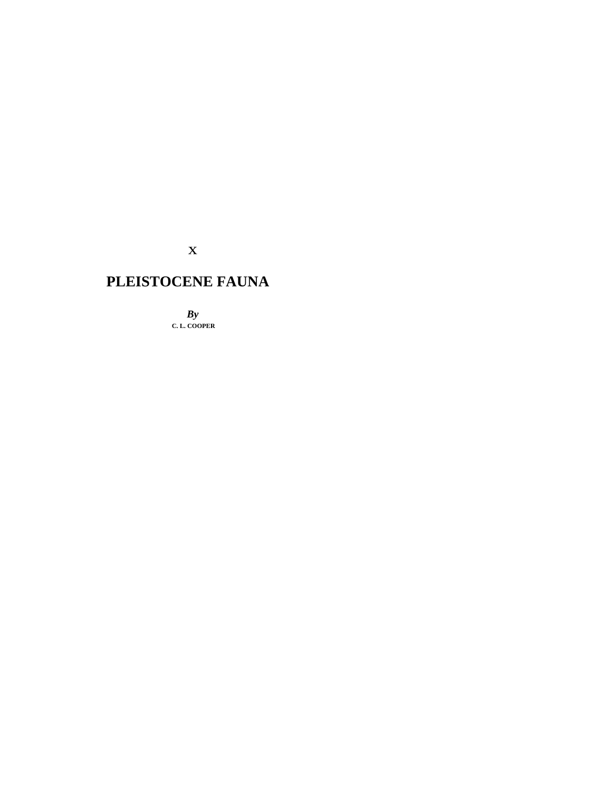x

# **PLEISTOCENE FAUNA**

*By*  **C. L. COOPER**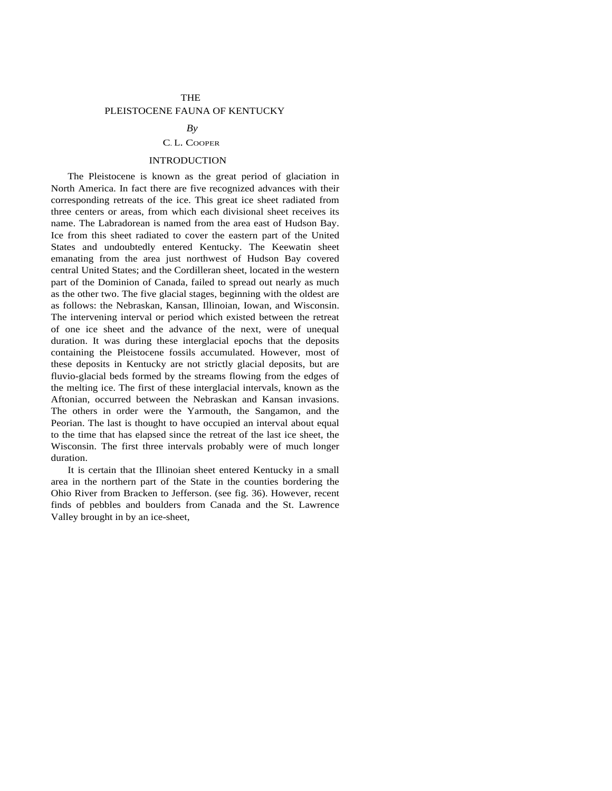## THE

## PLEISTOCENE FAUNA OF KENTUCKY

#### $Bv$

### C. L. COOPER

### INTRODUCTION

The Pleistocene is known as the great period of glaciation in North America. In fact there are five recognized advances with their corresponding retreats of the ice. This great ice sheet radiated from three centers or areas, from which each divisional sheet receives its name. The Labradorean is named from the area east of Hudson Bay. Ice from this sheet radiated to cover the eastern part of the United States and undoubtedly entered Kentucky. The Keewatin sheet emanating from the area just northwest of Hudson Bay covered central United States; and the Cordilleran sheet, located in the western part of the Dominion of Canada, failed to spread out nearly as much as the other two. The five glacial stages, beginning with the oldest are as follows: the Nebraskan, Kansan, Illinoian, Iowan, and Wisconsin. The intervening interval or period which existed between the retreat of one ice sheet and the advance of the next, were of unequal duration. It was during these interglacial epochs that the deposits containing the Pleistocene fossils accumulated. However, most of these deposits in Kentucky are not strictly glacial deposits, but are fluvio-glacial beds formed by the streams flowing from the edges of the melting ice. The first of these interglacial intervals, known as the Aftonian, occurred between the Nebraskan and Kansan invasions. The others in order were the Yarmouth, the Sangamon, and the Peorian. The last is thought to have occupied an interval about equal to the time that has elapsed since the retreat of the last ice sheet, the Wisconsin. The first three intervals probably were of much longer duration.

It is certain that the Illinoian sheet entered Kentucky in a small area in the northern part of the State in the counties bordering the Ohio River from Bracken to Jefferson. (see fig. 36). However, recent finds of pebbles and boulders from Canada and the St. Lawrence Valley brought in by an ice-sheet,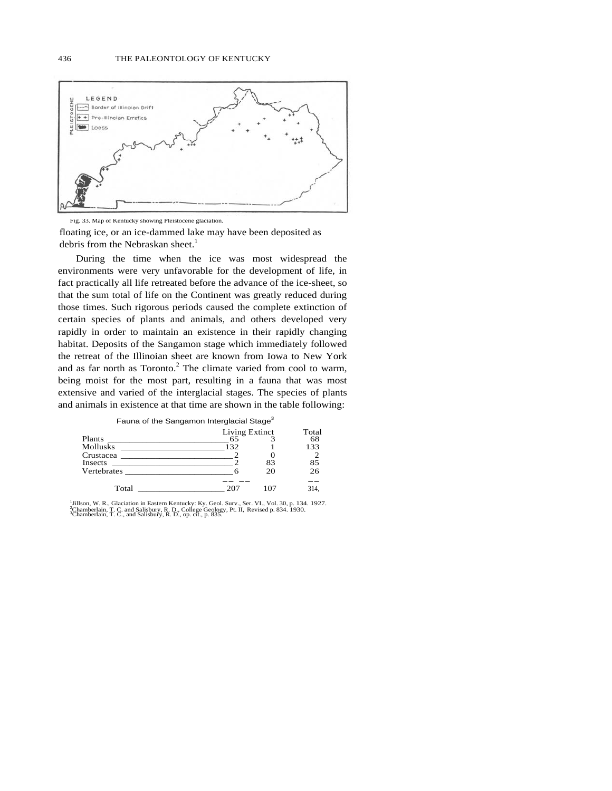

Fig. 33. Map of Kentucky showing Pleistocene glaciation. floating ice, or an ice-dammed lake may have been deposited as debris from the Nebraskan sheet. $1$ 

During the time when the ice was most widespread the environments were very unfavorable for the development of life, in fact practically all life retreated before the advance of the ice-sheet, so that the sum total of life on the Continent was greatly reduced during those times. Such rigorous periods caused the complete extinction of certain species of plants and animals, and others developed very rapidly in order to maintain an existence in their rapidly changing habitat. Deposits of the Sangamon stage which immediately followed the retreat of the Illinoian sheet are known from Iowa to New York and as far north as Toronto.<sup>2</sup> The climate varied from cool to warm, being moist for the most part, resulting in a fauna that was most extensive and varied of the interglacial stages. The species of plants and animals in existence at that time are shown in the table following:

| Fauna of the Sangamon Interglacial Stage <sup>3</sup>                                 |                |    |       |
|---------------------------------------------------------------------------------------|----------------|----|-------|
|                                                                                       | Living Extinct |    | Total |
| Plants<br>the control of the control of the control of the                            | 65             |    | 68    |
| <b>Mollusks</b>                                                                       | 132            |    | 133   |
| Crustacea                                                                             |                |    |       |
| Insects<br>the control of the control of the control of the control of the control of |                | 83 | 85    |
| <b>Vertebrates</b>                                                                    |                | 20 | 26    |
|                                                                                       |                |    |       |
| Total                                                                                 | 20°            |    |       |

<sup>1</sup> Jillson, W. R., Glaciation in Eastern Kentucky: Ky. Geol. Surv., Ser. VI., Vol. 30, p. 134. 1927.<br><sup>3</sup>Chamberlain, T. C. and Salisbury, R. D., College Geology, Pt. II, Revised p. 834. 1930.<br><sup>3</sup>Chamberlain, T. C., and Sa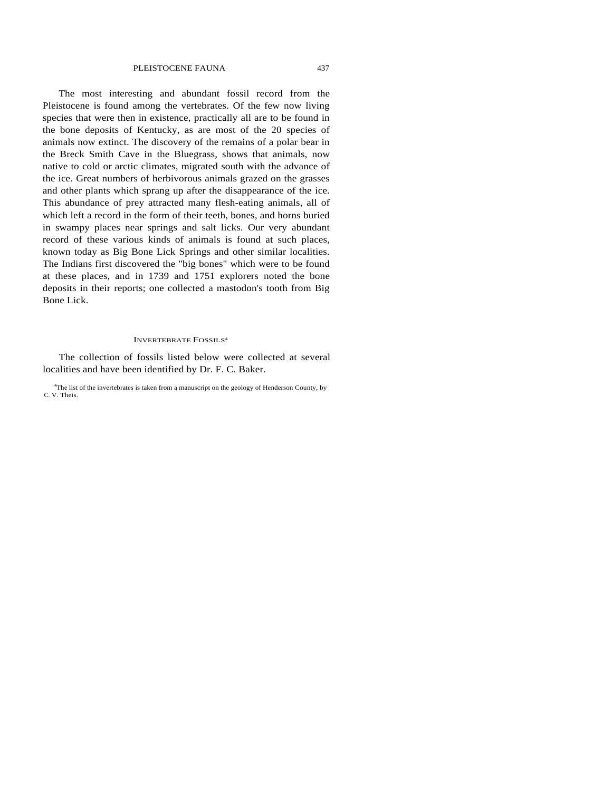The most interesting and abundant fossil record from the Pleistocene is found among the vertebrates. Of the few now living species that were then in existence, practically all are to be found in the bone deposits of Kentucky, as are most of the 20 species of animals now extinct. The discovery of the remains of a polar bear in the Breck Smith Cave in the Bluegrass, shows that animals, now native to cold or arctic climates, migrated south with the advance of the ice. Great numbers of herbivorous animals grazed on the grasses and other plants which sprang up after the disappearance of the ice. This abundance of prey attracted many flesh-eating animals, all of which left a record in the form of their teeth, bones, and horns buried in swampy places near springs and salt licks. Our very abundant record of these various kinds of animals is found at such places, known today as Big Bone Lick Springs and other similar localities. The Indians first discovered the "big bones" which were to be found at these places, and in 1739 and 1751 explorers noted the bone deposits in their reports; one collected a mastodon's tooth from Big Bone Lick.

#### INVERTEBRATE FOSSILS4

The collection of fossils listed below were collected at several localities and have been identified by Dr. F. C. Baker.

<sup>4</sup>The list of the invertebrates is taken from a manuscript on the geology of Henderson County, by C. V. Theis.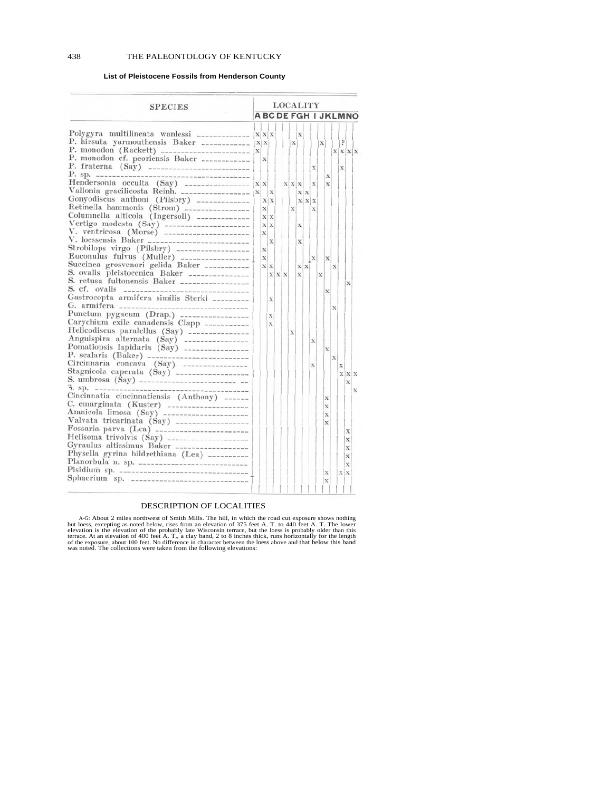### **List of Pleistocene Fossils from Henderson County**

| <b>SPECIES</b>                                                                                  | LOCALITY |          |             |            |  |              |              |     |           |             |             |             |     |                        |
|-------------------------------------------------------------------------------------------------|----------|----------|-------------|------------|--|--------------|--------------|-----|-----------|-------------|-------------|-------------|-----|------------------------|
|                                                                                                 |          |          |             |            |  |              |              |     |           |             |             |             |     | <b>ABCDEFGHIJKLMNO</b> |
| Polygyra multilineata wanlessi _____________                                                    |          |          |             |            |  |              |              |     |           |             |             |             |     |                        |
| P. hirsuta yarmouthensis Baker ___________                                                      |          | XXX      |             |            |  |              | $\mathbf{X}$ |     |           |             |             |             |     |                        |
|                                                                                                 | X        | X X      |             |            |  | x            |              |     |           | $\mathbf X$ |             |             |     |                        |
|                                                                                                 |          | x        |             |            |  |              |              |     |           |             |             |             |     | X X X                  |
| P. fraterna (Say) --------------------------                                                    |          |          |             |            |  |              |              |     | x         |             |             |             | x   |                        |
| $P.$ sp. $---$<br>-------------------------------                                               |          |          |             |            |  |              |              |     |           |             | x           |             |     |                        |
| Hendersonia occulta (Say) $\frac{1}{x}$                                                         |          |          |             |            |  |              | X X X        |     | X         |             | x           |             |     |                        |
|                                                                                                 |          |          | $\mathbf x$ |            |  |              |              | X X |           |             |             |             |     |                        |
| Gonyodiscus anthoni (Pilsbry) _____________                                                     |          |          | X X         |            |  |              | <b>XXX</b>   |     |           |             |             |             |     |                        |
| Retinella hammonis (Strom) ----------------                                                     |          | $\bf x$  |             |            |  | $\mathbf{x}$ |              |     | x         |             |             |             |     |                        |
| Columnella alticola (Ingersoll) -------------                                                   |          | X X      |             |            |  |              |              |     |           |             |             |             |     |                        |
|                                                                                                 |          | $x \, x$ |             |            |  |              | x            |     |           |             |             |             |     |                        |
| Vertigo modesta (Say) ----------------------<br>V. ventricosa (Morse) ---------------------     |          | X        |             |            |  |              |              |     |           |             |             |             |     |                        |
|                                                                                                 |          |          | $\bf x$     |            |  |              | X            |     |           |             |             |             |     |                        |
| Strobilops virgo (Pilsbry) ------------------                                                   |          | X        |             |            |  |              |              |     |           |             |             |             |     |                        |
|                                                                                                 |          | X        |             |            |  |              |              |     | $\vert x$ |             | X           |             |     |                        |
| Succinea grosvenori gelida Baker -----------                                                    |          | X X      |             |            |  |              |              | X X |           |             |             | $\mathbf x$ |     |                        |
|                                                                                                 |          |          |             | <b>XXX</b> |  |              | $\bf x$      |     |           | X           |             |             |     |                        |
| S. ovalis pleistocenica Baker ----------------<br>S. retusa fultonensis Baker ----------------- |          |          |             |            |  |              |              |     |           |             |             |             |     | x                      |
| S. cf. ovalis                                                                                   |          |          |             |            |  |              |              |     |           |             | X           |             |     |                        |
| Gastrocopta armifera similis Sterki _________                                                   |          |          | $\bf x$     |            |  |              |              |     |           |             |             |             |     |                        |
| G. armifera ________                                                                            |          |          |             |            |  |              |              |     |           |             |             | х           |     |                        |
| Punctum pygaeum (Drap.) -----------------                                                       |          |          | $\bf x$     |            |  |              |              |     |           |             |             |             |     |                        |
| Carychium exile canadensis Clapp ___________                                                    |          |          | $\bf x$     |            |  |              |              |     |           |             |             |             |     |                        |
| Helicodiscus paralellus (Say) ---------------                                                   |          |          |             |            |  | $\mathbf x$  |              |     |           |             |             |             |     |                        |
| Anguispira alternata (Say) ----------------                                                     |          |          |             |            |  |              |              |     | х         |             |             |             |     |                        |
| Pomationsis lapidaria (Say) ----------------                                                    |          |          |             |            |  |              |              |     |           |             | X           |             |     |                        |
| P. scalaris (Baker) --------------------------                                                  |          |          |             |            |  |              |              |     |           |             |             | $\bf x$     |     |                        |
|                                                                                                 |          |          |             |            |  |              |              |     | х         |             |             |             | X   |                        |
|                                                                                                 |          |          |             |            |  |              |              |     |           |             |             |             |     | X X X                  |
|                                                                                                 |          |          |             |            |  |              |              |     |           |             |             |             |     | х                      |
| $5.$ Sp. $---$<br>-----------                                                                   |          |          |             |            |  |              |              |     |           |             |             |             |     | $\mathbf x$            |
| Cincinnatia cincinnatiensis (Anthony) ______                                                    |          |          |             |            |  |              |              |     |           |             | X           |             |     |                        |
| C. emarginata (Kuster) --------------------                                                     |          |          |             |            |  |              |              |     |           |             | X           |             |     |                        |
| Amnicola limosa (Say) ---------------------                                                     |          |          |             |            |  |              |              |     |           |             | $\bf{x}$    |             |     |                        |
| Valvata tricarinata (Say) ------------------                                                    |          |          |             |            |  |              |              |     |           |             | $\bf x$     |             |     |                        |
|                                                                                                 |          |          |             |            |  |              |              |     |           |             |             |             |     | х                      |
| Helisoma trivolvis (Say) --------------------                                                   |          |          |             |            |  |              |              |     |           |             |             |             |     | x                      |
| Gyraulus altissimus Baker __________________                                                    |          |          |             |            |  |              |              |     |           |             |             |             |     | X                      |
| Physella gyrina hildrethiana (Lea) __________                                                   |          |          |             |            |  |              |              |     |           |             |             |             |     | X                      |
|                                                                                                 |          |          |             |            |  |              |              |     |           |             |             |             |     | $\bf x$                |
|                                                                                                 |          |          |             |            |  |              |              |     |           |             | $\bf x$     |             | X X |                        |
|                                                                                                 |          |          |             |            |  |              |              |     |           |             | $\mathbf x$ |             |     |                        |
|                                                                                                 |          |          |             |            |  |              |              |     |           |             |             |             |     |                        |
|                                                                                                 |          |          |             |            |  |              |              |     |           |             |             |             |     |                        |

#### DESCRIPTION OF LOCALITIES

A-G: About 2 miles northwest of Smith Mills. The hill, in which the road cut exposure shows nothing<br>but loess, excepting as noted below, rises from an elevation of 375 feet A. T. to 440 feet A. T. The lower<br>elevation is th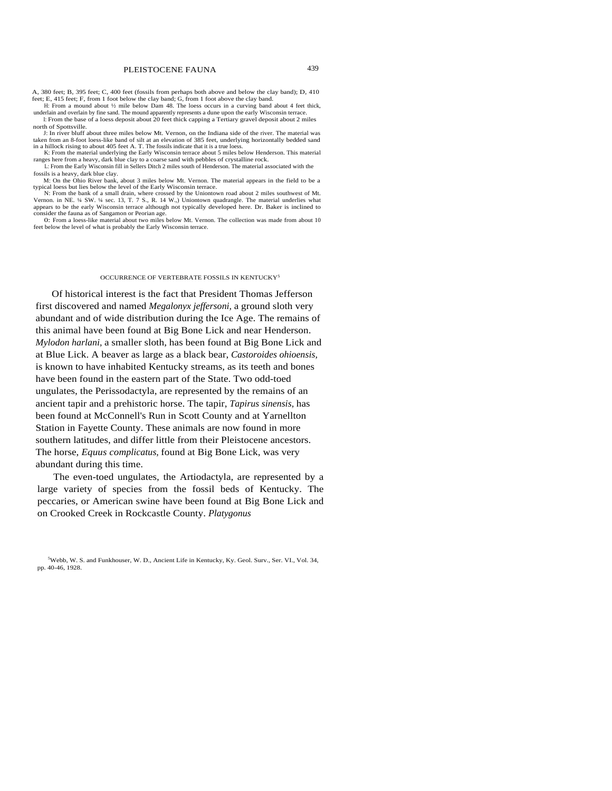A, 380 feet; B, 395 feet; C, 400 feet (fossils from perhaps both above and below the clay band); D, 410 feet; E, 415 feet; F, from 1 foot below the clay band; G, from 1 foot above the clay band.

H: From a mound about ½ mile below Dam 48. The loess occurs in a curving band about 4 feet thick, underlain and overlain by fine sand. The mound apparently represents a dune upon the early Wisconsin terrace.

I: From the base of a loess deposit about 20 feet thick capping a Tertiary gravel deposit about 2 miles north of Spottsville.

J: In river bluff about three miles below Mt. Vernon, on the Indiana side of the river. The material was taken from an 8-foot loess-like band of silt at an elevation of 385 feet, underlying horizontally bedded sand in a hillock rising to about 405 feet A. T. The fossils indicate that it is a true loess.

K: From the material underlying the Early Wisconsin terrace about 5 miles below Henderson. This material ranges here from a heavy, dark blue clay to a coarse sand with pebbles of crystalline rock.

L: From the Early Wisconsin fill in Sellers Ditch 2 miles south of Henderson. The material associated with the fossils is a heavy, dark blue clay.

M: On the Ohio River bank, about 3 miles below Mt. Vernon. The material appears in the field to be a typical loess but lies below the level of the Early Wisconsin terrace.

N: From the bank of a small drain, where crossed by the Uniontown road about 2 miles southwest of Mt. Vernon. in NE. ¼ SW. ¼ sec. 13, T. 7 S., R. 14 W.,) Uniontown quadrangle. The material underlies what appears to be the early Wisconsin terrace although not typically developed here. Dr. Baker is inclined to consider the fauna as of Sangamon or Peorian age.

0: From a loess-like material about two miles below Mt. Vernon. The collection was made from about 10 feet below the level of what is probably the Early Wisconsin terrace.

#### OCCURRENCE OF VERTEBRATE FOSSILS IN KENTUCKY<sup>5</sup>

Of historical interest is the fact that President Thomas Jefferson first discovered and named *Megalonyx jeffersoni,* a ground sloth very abundant and of wide distribution during the Ice Age. The remains of this animal have been found at Big Bone Lick and near Henderson. *Mylodon harlani,* a smaller sloth, has been found at Big Bone Lick and at Blue Lick. A beaver as large as a black bear, *Castoroides ohioensis,*  is known to have inhabited Kentucky streams, as its teeth and bones have been found in the eastern part of the State. Two odd-toed ungulates, the Perissodactyla, are represented by the remains of an ancient tapir and a prehistoric horse. The tapir, *Tapirus sinensis,* has been found at McConnell's Run in Scott County and at Yarnellton Station in Fayette County. These animals are now found in more southern latitudes, and differ little from their Pleistocene ancestors. The horse, *Equus complicatus,* found at Big Bone Lick, was very abundant during this time.

The even-toed ungulates, the Artiodactyla, are represented by a large variety of species from the fossil beds of Kentucky. The peccaries, or American swine have been found at Big Bone Lick and on Crooked Creek in Rockcastle County. *Platygonus*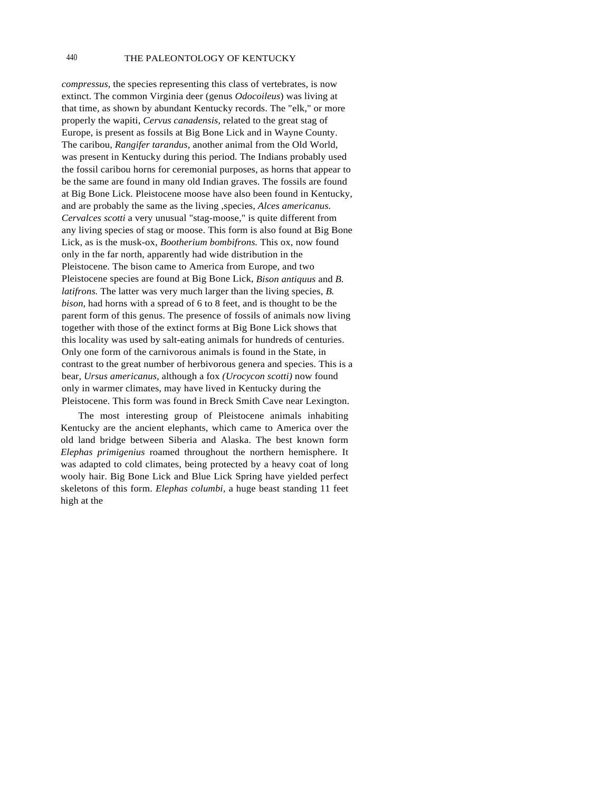*compressus,* the species representing this class of vertebrates, is now extinct. The common Virginia deer (genus *Odocoileus*) was living at that time, as shown by abundant Kentucky records. The "elk," or more properly the wapiti, *Cervus canadensis,* related to the great stag of Europe, is present as fossils at Big Bone Lick and in Wayne County. The caribou, *Rangifer tarandus,* another animal from the Old World, was present in Kentucky during this period. The Indians probably used the fossil caribou horns for ceremonial purposes, as horns that appear to be the same are found in many old Indian graves. The fossils are found at Big Bone Lick. Pleistocene moose have also been found in Kentucky, and are probably the same as the living ,species, *Alces americanus. Cervalces scotti* a very unusual "stag-moose," is quite different from any living species of stag or moose. This form is also found at Big Bone Lick, as is the musk-ox, *Bootherium bombifrons.* This ox, now found only in the far north, apparently had wide distribution in the Pleistocene. The bison came to America from Europe, and two Pleistocene species are found at Big Bone Lick, *Bison antiquus* and *B. latifrons.* The latter was very much larger than the living species, *B. bison,* had horns with a spread of 6 to 8 feet, and is thought to be the parent form of this genus. The presence of fossils of animals now living together with those of the extinct forms at Big Bone Lick shows that this locality was used by salt-eating animals for hundreds of centuries. Only one form of the carnivorous animals is found in the State, in contrast to the great number of herbivorous genera and species. This is a bear, *Ursus americanus,* although a fox *(Urocycon scotti)* now found only in warmer climates, may have lived in Kentucky during the Pleistocene. This form was found in Breck Smith Cave near Lexington.

The most interesting group of Pleistocene animals inhabiting Kentucky are the ancient elephants, which came to America over the old land bridge between Siberia and Alaska. The best known form *Elephas primigenius* roamed throughout the northern hemisphere. It was adapted to cold climates, being protected by a heavy coat of long wooly hair. Big Bone Lick and Blue Lick Spring have yielded perfect skeletons of this form. *Elephas columbi,* a huge beast standing 11 feet high at the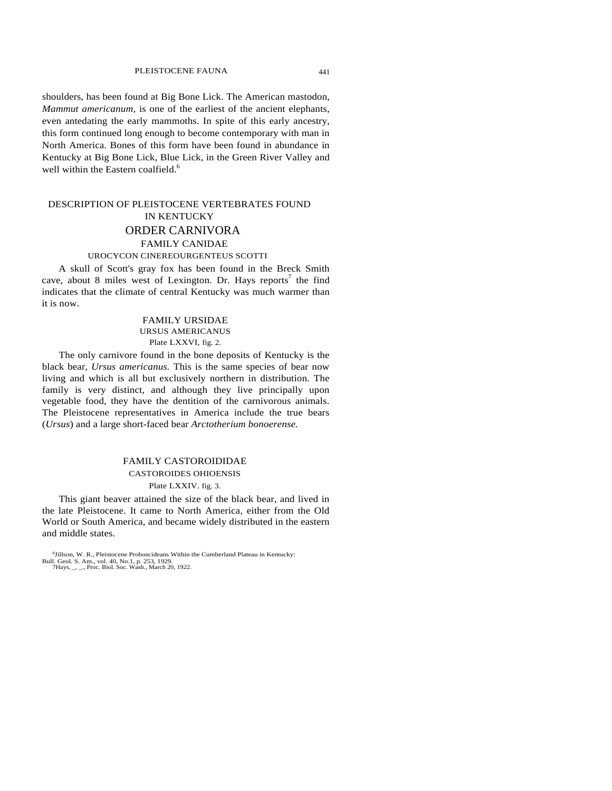shoulders, has been found at Big Bone Lick. The American mastodon, *Mammut americanum,* is one of the earliest of the ancient elephants, even antedating the early mammoths. In spite of this early ancestry, this form continued long enough to become contemporary with man in North America. Bones of this form have been found in abundance in Kentucky at Big Bone Lick, Blue Lick, in the Green River Valley and well within the Eastern coalfield.<sup>6</sup>

# DESCRIPTION OF PLEISTOCENE VERTEBRATES FOUND IN KENTUCKY ORDER CARNIVORA FAMILY CANIDAE UROCYCON CINEREOURGENTEUS SCOTTI

A skull of Scott's gray fox has been found in the Breck Smith cave, about 8 miles west of Lexington. Dr. Hays reports<sup>7</sup> the find indicates that the climate of central Kentucky was much warmer than it is now.

## FAMILY URSIDAE URSUS AMERICANUS Plate LXXVI, fig. 2.

The only carnivore found in the bone deposits of Kentucky is the black bear, *Ursus americanus.* This is the same species of bear now living and which is all but exclusively northern in distribution. The family is very distinct, and although they live principally upon vegetable food, they have the dentition of the carnivorous animals. The Pleistocene representatives in America include the true bears (*Ursus*) and a large short-faced bear *Arctotherium bonoerense.* 

## FAMILY CASTOROIDIDAE CASTOROIDES OHIOENSIS Plate LXXIV. fig. 3.

This giant beaver attained the size of the black bear, and lived in the late Pleistocene. It came to North America, either from the Old World or South America, and became widely distributed in the eastern and middle states.

<sup>6</sup> Jillson, W. R., Pleistocene Proboscideans Within the Cumberland Plateau in Kentucky: Bull. Geol. S. Am., vol. 40, No.1, p. 253, 1929. 7Hays, \_, \_., Proc. Biol. Soc. Wash., March 20, 1922.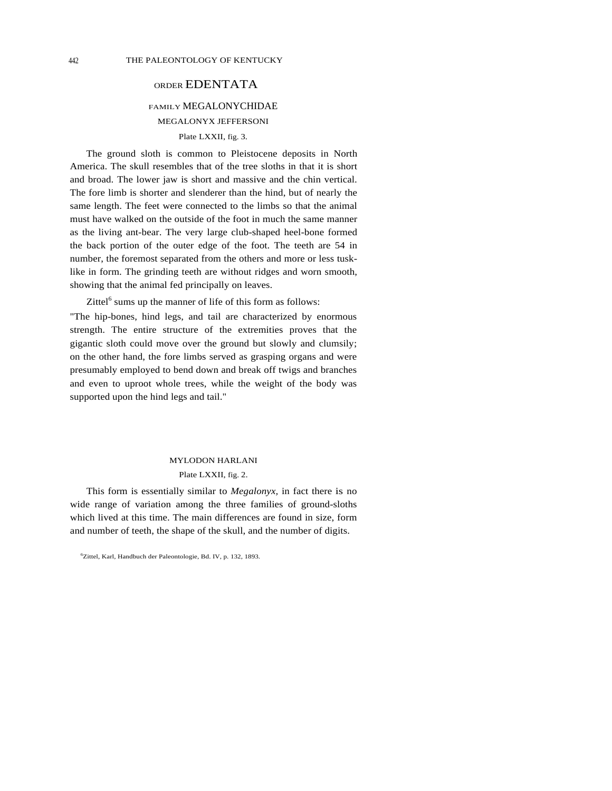## ORDER EDENTATA

# FAMILY MEGALONYCHIDAE MEGALONYX JEFFERSONI

Plate LXXII, fig. 3.

The ground sloth is common to Pleistocene deposits in North America. The skull resembles that of the tree sloths in that it is short and broad. The lower jaw is short and massive and the chin vertical. The fore limb is shorter and slenderer than the hind, but of nearly the same length. The feet were connected to the limbs so that the animal must have walked on the outside of the foot in much the same manner as the living ant-bear. The very large club-shaped heel-bone formed the back portion of the outer edge of the foot. The teeth are 54 in number, the foremost separated from the others and more or less tusklike in form. The grinding teeth are without ridges and worn smooth, showing that the animal fed principally on leaves.

Zittel $^6$  sums up the manner of life of this form as follows:

"The hip-bones, hind legs, and tail are characterized by enormous strength. The entire structure of the extremities proves that the gigantic sloth could move over the ground but slowly and clumsily; on the other hand, the fore limbs served as grasping organs and were presumably employed to bend down and break off twigs and branches and even to uproot whole trees, while the weight of the body was supported upon the hind legs and tail."

## MYLODON HARLANI

## Plate LXXII, fig. 2.

This form is essentially similar to *Megalonyx,* in fact there is no wide range of variation among the three families of ground-sloths which lived at this time. The main differences are found in size, form and number of teeth, the shape of the skull, and the number of digits.

<sup>6</sup> Zittel, Karl, Handbuch der Paleontologie, Bd. IV, p. 132, 1893.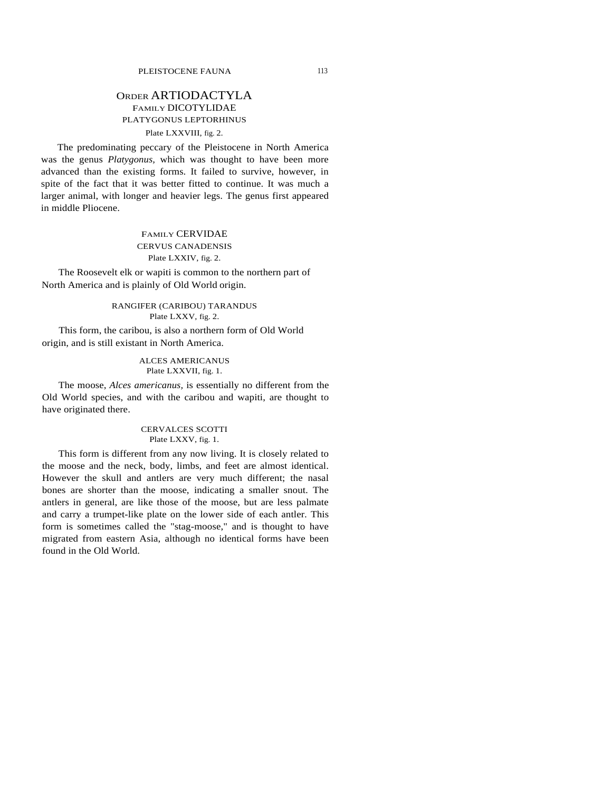## ORDER ARTIODACTYLA FAMILY DICOTYLIDAE PLATYGONUS LEPTORHINUS Plate LXXVIII, fig. 2.

The predominating peccary of the Pleistocene in North America was the genus *Platygonus,* which was thought to have been more advanced than the existing forms. It failed to survive, however, in spite of the fact that it was better fitted to continue. It was much a larger animal, with longer and heavier legs. The genus first appeared in middle Pliocene.

## FAMILY CERVIDAE CERVUS CANADENSIS Plate LXXIV, fig. 2.

The Roosevelt elk or wapiti is common to the northern part of North America and is plainly of Old World origin.

> RANGIFER (CARIBOU) TARANDUS Plate LXXV, fig. 2.

This form, the caribou, is also a northern form of Old World origin, and is still existant in North America.

### ALCES AMERICANUS Plate LXXVII, fig. 1.

The moose, *Alces americanus,* is essentially no different from the Old World species, and with the caribou and wapiti, are thought to have originated there.

## CERVALCES SCOTTI Plate LXXV, fig. 1.

This form is different from any now living. It is closely related to the moose and the neck, body, limbs, and feet are almost identical. However the skull and antlers are very much different; the nasal bones are shorter than the moose, indicating a smaller snout. The antlers in general, are like those of the moose, but are less palmate and carry a trumpet-like plate on the lower side of each antler. This form is sometimes called the "stag-moose," and is thought to have migrated from eastern Asia, although no identical forms have been found in the Old World.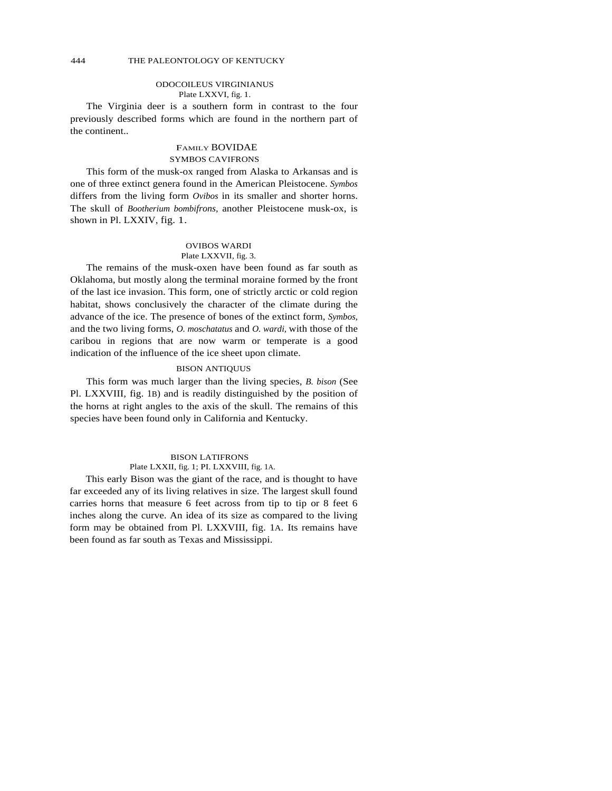#### ODOCOILEUS VIRGINIANUS Plate LXXVI, fig. 1.

The Virginia deer is a southern form in contrast to the four previously described forms which are found in the northern part of the continent..

## FAMILY BOVIDAE SYMBOS CAVIFRONS

This form of the musk-ox ranged from Alaska to Arkansas and is one of three extinct genera found in the American Pleistocene. *Symbos* differs from the living form *Ovibos* in its smaller and shorter horns. The skull of *Bootherium bombifrons,* another Pleistocene musk-ox, is shown in Pl. LXXIV, fig. 1.

## OVIBOS WARDI Plate LXXVII, fig. 3.

The remains of the musk-oxen have been found as far south as Oklahoma, but mostly along the terminal moraine formed by the front of the last ice invasion. This form, one of strictly arctic or cold region habitat, shows conclusively the character of the climate during the advance of the ice. The presence of bones of the extinct form, *Symbos,*  and the two living forms, *O. moschatatus* and *O. wardi,* with those of the caribou in regions that are now warm or temperate is a good indication of the influence of the ice sheet upon climate.

## BISON ANTIQUUS

This form was much larger than the living species, *B. bison* (See Pl. LXXVIII, fig. 1B) and is readily distinguished by the position of the horns at right angles to the axis of the skull. The remains of this species have been found only in California and Kentucky.

## BISON LATIFRONS Plate LXXII, fig. 1; PI. LXXVIII, fig. 1A.

This early Bison was the giant of the race, and is thought to have far exceeded any of its living relatives in size. The largest skull found carries horns that measure 6 feet across from tip to tip or 8 feet 6 inches along the curve. An idea of its size as compared to the living form may be obtained from Pl. LXXVIII, fig. 1A. Its remains have been found as far south as Texas and Mississippi.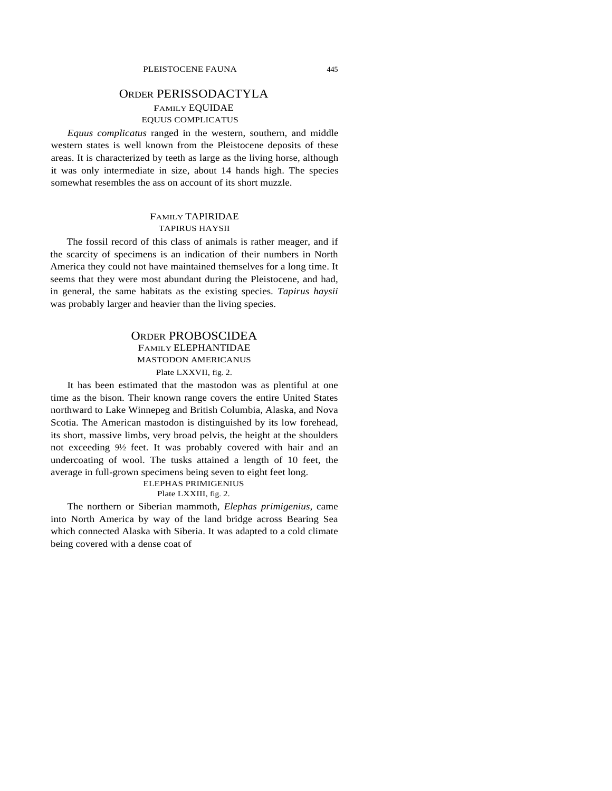# ORDER PERISSODACTYLA FAMILY EQUIDAE EQUUS COMPLICATUS

*Equus complicatus* ranged in the western, southern, and middle western states is well known from the Pleistocene deposits of these areas. It is characterized by teeth as large as the living horse, although it was only intermediate in size, about 14 hands high. The species somewhat resembles the ass on account of its short muzzle.

## FAMILY TAPIRIDAE TAPIRUS HAYSII

The fossil record of this class of animals is rather meager, and if the scarcity of specimens is an indication of their numbers in North America they could not have maintained themselves for a long time. It seems that they were most abundant during the Pleistocene, and had, in general, the same habitats as the existing species. *Tapirus haysii*  was probably larger and heavier than the living species.

# ORDER PROBOSCIDEA FAMILY ELEPHANTIDAE MASTODON AMERICANUS

## Plate LXXVII, fig. 2.

It has been estimated that the mastodon was as plentiful at one time as the bison. Their known range covers the entire United States northward to Lake Winnepeg and British Columbia, Alaska, and Nova Scotia. The American mastodon is distinguished by its low forehead, its short, massive limbs, very broad pelvis, the height at the shoulders not exceeding 9½ feet. It was probably covered with hair and an undercoating of wool. The tusks attained a length of 10 feet, the average in full-grown specimens being seven to eight feet long.

#### ELEPHAS PRIMIGENIUS Plate LXXIII, fig. 2.

The northern or Siberian mammoth, *Elephas primigenius,* came into North America by way of the land bridge across Bearing Sea which connected Alaska with Siberia. It was adapted to a cold climate being covered with a dense coat of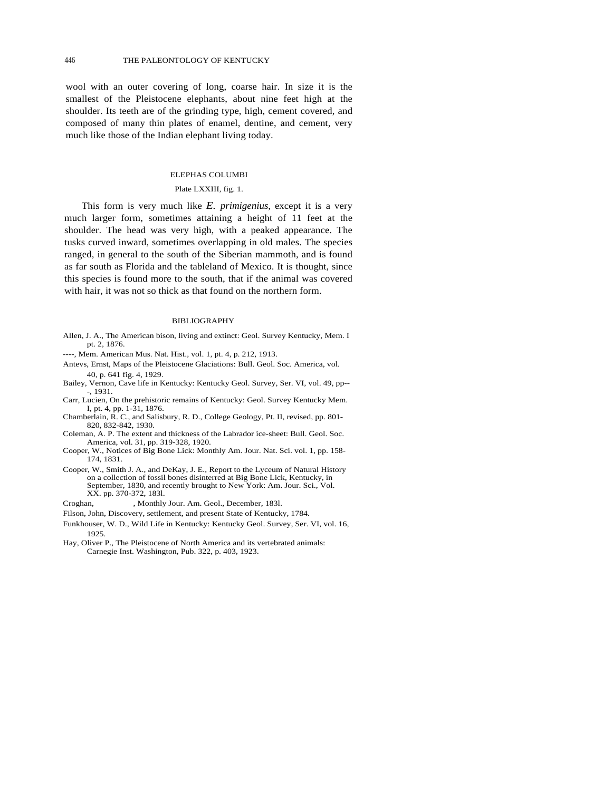wool with an outer covering of long, coarse hair. In size it is the smallest of the Pleistocene elephants, about nine feet high at the shoulder. Its teeth are of the grinding type, high, cement covered, and composed of many thin plates of enamel, dentine, and cement, very much like those of the Indian elephant living today.

#### ELEPHAS COLUMBI

#### Plate LXXIII, fig. 1.

This form is very much like *E. primigenius,* except it is a very much larger form, sometimes attaining a height of 11 feet at the shoulder. The head was very high, with a peaked appearance. The tusks curved inward, sometimes overlapping in old males. The species ranged, in general to the south of the Siberian mammoth, and is found as far south as Florida and the tableland of Mexico. It is thought, since this species is found more to the south, that if the animal was covered with hair, it was not so thick as that found on the northern form.

#### BIBLIOGRAPHY

- Allen, J. A., The American bison, living and extinct: Geol. Survey Kentucky, Mem. I pt. 2, 1876.
- ----, Mem. American Mus. Nat. Hist., vol. 1, pt. 4, p. 212, 1913.
- Antevs, Ernst, Maps of the Pleistocene Glaciations: Bull. Geol. Soc. America, vol. 40, p. 641 fig. 4, 1929.
- Bailey, Vernon, Cave life in Kentucky: Kentucky Geol. Survey, Ser. VI, vol. 49, pp-- -, 1931.
- Carr, Lucien, On the prehistoric remains of Kentucky: Geol. Survey Kentucky Mem. I, pt. 4, pp. 1-31, 1876.
- Chamberlain, R. C., and Salisbury, R. D., College Geology, Pt. II, revised, pp. 801- 820, 832-842, 1930.
- Coleman, A. P. The extent and thickness of the Labrador ice-sheet: Bull. Geol. Soc. America, vol. 31, pp. 319-328, 1920.
- Cooper, W., Notices of Big Bone Lick: Monthly Am. Jour. Nat. Sci. vol. 1, pp. 158- 174, 1831.
- Cooper, W., Smith J. A., and DeKay, J. E., Report to the Lyceum of Natural History on a collection of fossil bones disinterred at Big Bone Lick, Kentucky, in September, 1830, and recently brought to New York: Am. Jour. Sci., Vol. XX. pp. 370-372, 183l.

Croghan, , Monthly Jour. Am. Geol., December, 183l.

Filson, John, Discovery, settlement, and present State of Kentucky, 1784.

- Funkhouser, W. D., Wild Life in Kentucky: Kentucky Geol. Survey, Ser. VI, vol. 16, 1925.
- Hay, Oliver P., The Pleistocene of North America and its vertebrated animals: Carnegie Inst. Washington, Pub. 322, p. 403, 1923.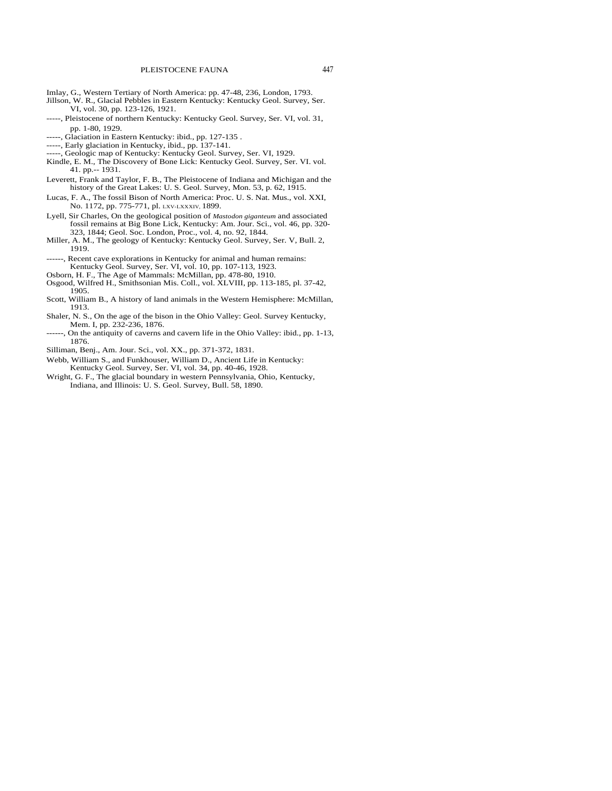- Imlay, G., Western Tertiary of North America: pp. 47-48, 236, London, 1793.
- Jillson, W. R., Glacial Pebbles in Eastern Kentucky: Kentucky Geol. Survey, Ser. VI, vol. 30, pp. 123-126, 1921.
- -----, Pleistocene of northern Kentucky: Kentucky Geol. Survey, Ser. VI, vol. 31, pp. 1-80, 1929.
- -----, Glaciation in Eastern Kentucky: ibid., pp. 127-135 .
- -----, Early glaciation in Kentucky, ibid., pp. 137-141.
- -----, Geologic map of Kentucky: Kentucky Geol. Survey, Ser. VI, 1929.
- Kindle, E. M., The Discovery of Bone Lick: Kentucky Geol. Survey, Ser. VI. vol. 41. pp.-- 1931.
- Leverett, Frank and Taylor, F. B., The Pleistocene of Indiana and Michigan and the history of the Great Lakes: U. S. Geol. Survey, Mon. 53, p. 62, 1915.
- Lucas, F. A., The fossil Bison of North America: Proc. U. S. Nat. Mus., vol. XXI, No. 1172, pp. 775-771, pl. LXV-LXXXIV, 1899.
- Lyell, Sir Charles, On the geological position of *Mastodon giganteum* and associated fossil remains at Big Bone Lick, Kentucky: Am. Jour. Sci., vol. 46, pp. 320- 323, 1844; Geol. Soc. London, Proc., vol. 4, no. 92, 1844.
- Miller, A. M., The geology of Kentucky: Kentucky Geol. Survey, Ser. V, Bull. 2, 1919.
- ------, Recent cave explorations in Kentucky for animal and human remains: Kentucky Geol. Survey, Ser. VI, vol. 10, pp. 107-113, 1923.
- Osborn, H. F., The Age of Mammals: McMillan, pp. 478-80, 1910.
- Osgood, Wilfred H., Smithsonian Mis. Coll., vol. XLVIII, pp. 113-185, pl. 37-42, 1905.
- Scott, William B., A history of land animals in the Western Hemisphere: McMillan, 1913.
- Shaler, N. S., On the age of the bison in the Ohio Valley: Geol. Survey Kentucky, Mem. I, pp. 232-236, 1876.
- ------, On the antiquity of caverns and cavern life in the Ohio Valley: ibid., pp. 1-13, 1876.
- Silliman, Benj., Am. Jour. Sci., vol. XX., pp. 371-372, 1831.
- Webb, William S., and Funkhouser, William D., Ancient Life in Kentucky: Kentucky Geol. Survey, Ser. VI, vol. 34, pp. 40-46, 1928.
- Wright, G. F., The glacial boundary in western Pennsylvania, Ohio, Kentucky, Indiana, and Illinois: U. S. Geol. Survey, Bull. 58, 1890.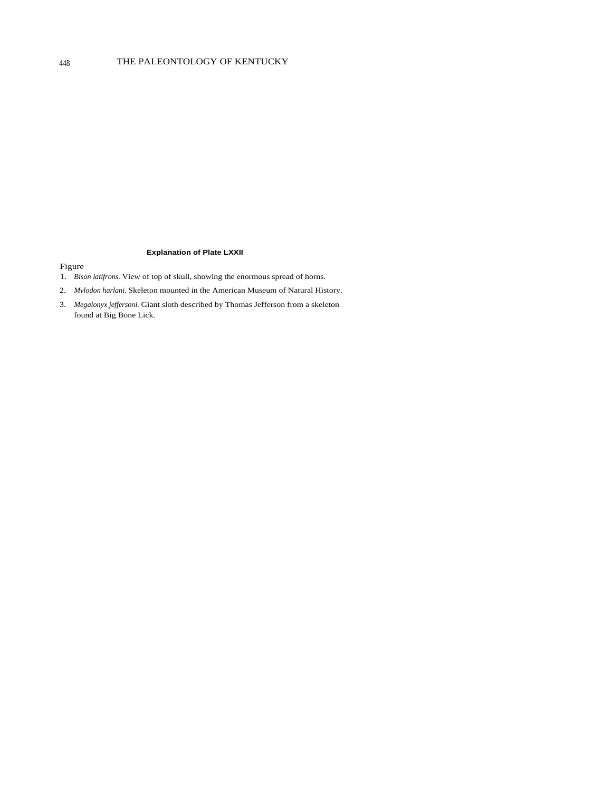#### **Explanation of Plate LXXII**

- 1. *Bison latifrons.* View of top of skull, showing the enormous spread of horns.
- 2. *Mylodon harlani.* Skeleton mounted in the American Museum of Natural History.
- 3. *Megalonyx jeffersoni.* Giant sloth described by Thomas Jefferson from a skeleton found at Big Bone Lick.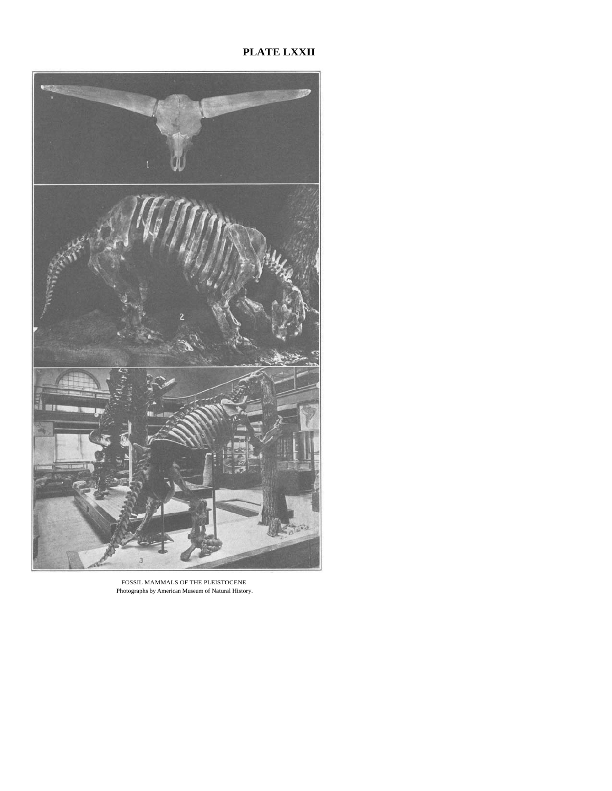# **PLATE LXXII**



FOSSIL MAMMALS OF THE PLEISTOCENE Photographs by American Museum of Natural History.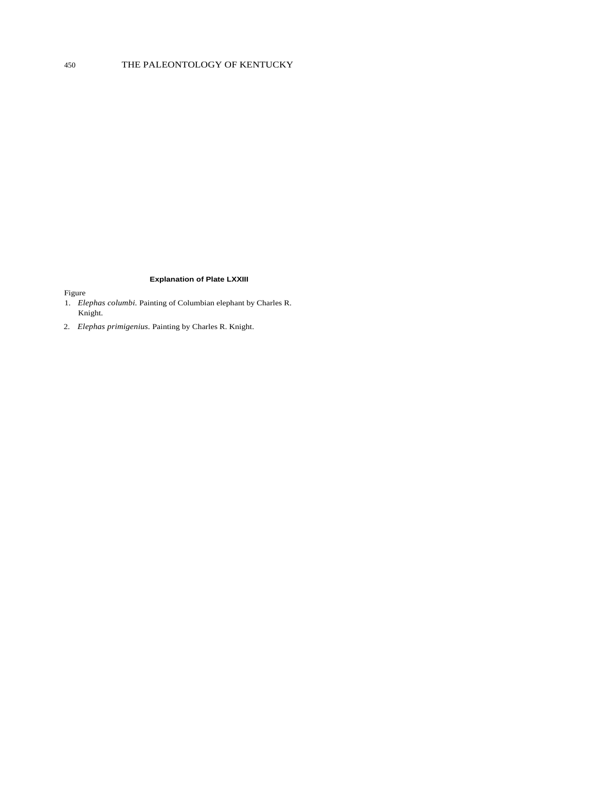## **Explanation of Plate LXXIII**

- 1. *Elephas columbi.* Painting of Columbian elephant by Charles R. Knight.
- 2. *Elephas primigenius.* Painting by Charles R. Knight.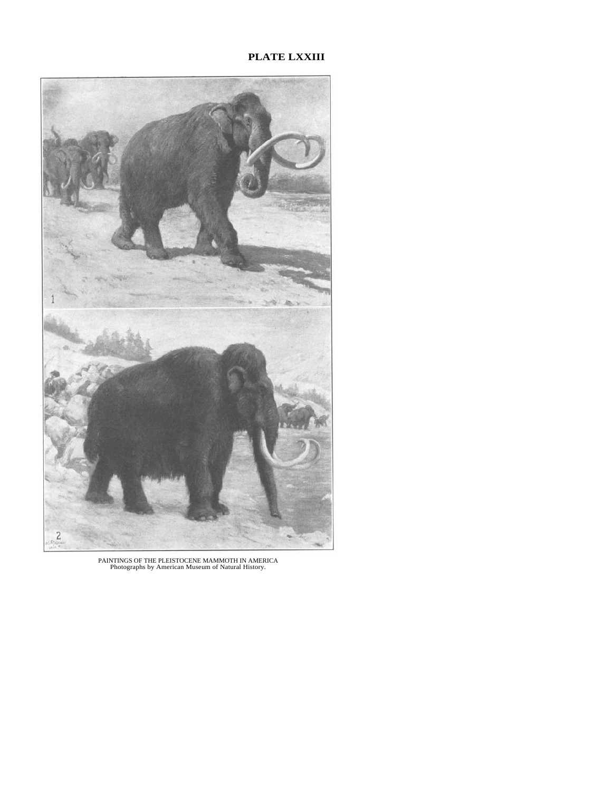## **PLATE LXXIII**



PAINTINGS OF THE PLEISTOCENE MAMMOTH IN AMERICA Photographs by American Museum of Natural History.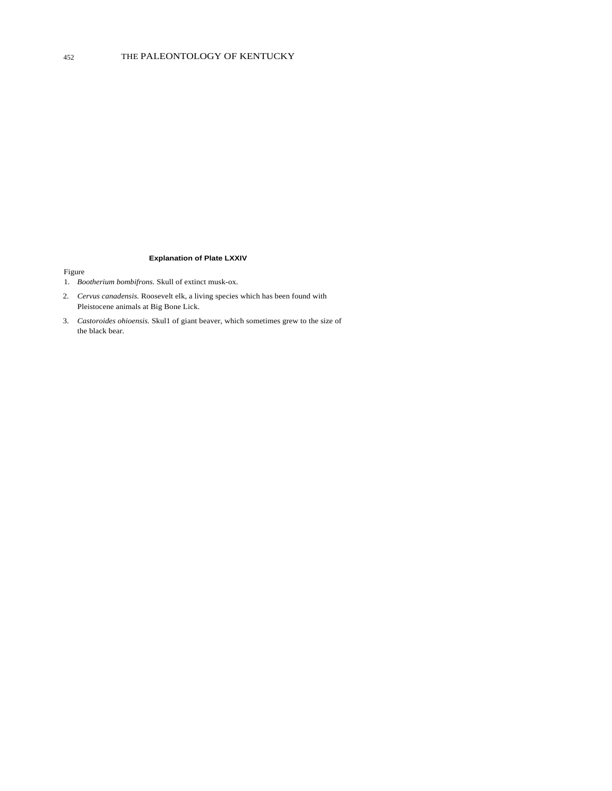#### **Explanation of Plate LXXIV**

- 1. *Bootherium bombifrons.* Skull of extinct musk-ox.
- 2. *Cervus canadensis.* Roosevelt elk, a living species which has been found with Pleistocene animals at Big Bone Lick.
- 3. *Castoroides ohioensis.* Skul1 of giant beaver, which sometimes grew to the size of the black bear.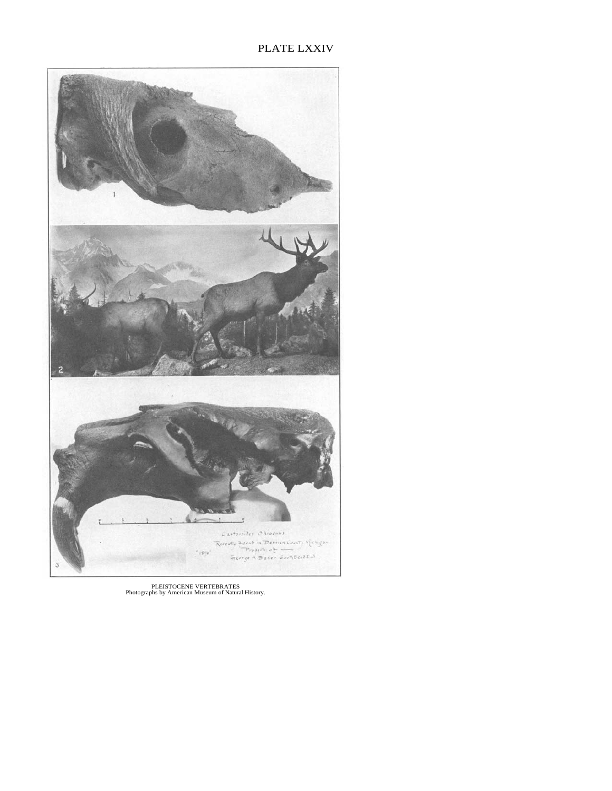# PLATE LXXIV



PLEISTOCENE VERTEBRATES Photographs by American Museum of Natural History.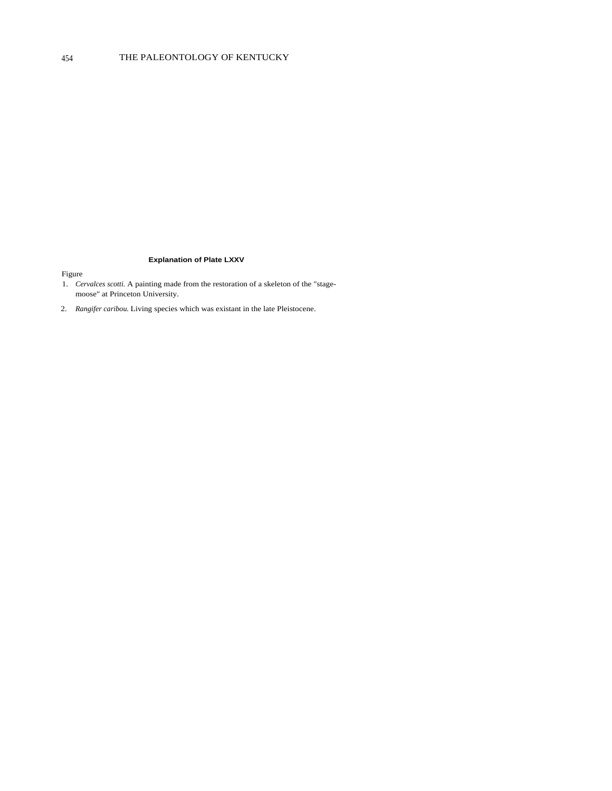### **Explanation of Plate LXXV**

- 1. *Cervalces scotti.* A painting made from the restoration of a skeleton of the "stagemoose" at Princeton University.
- 2. *Rangifer caribou.* Living species which was existant in the late Pleistocene.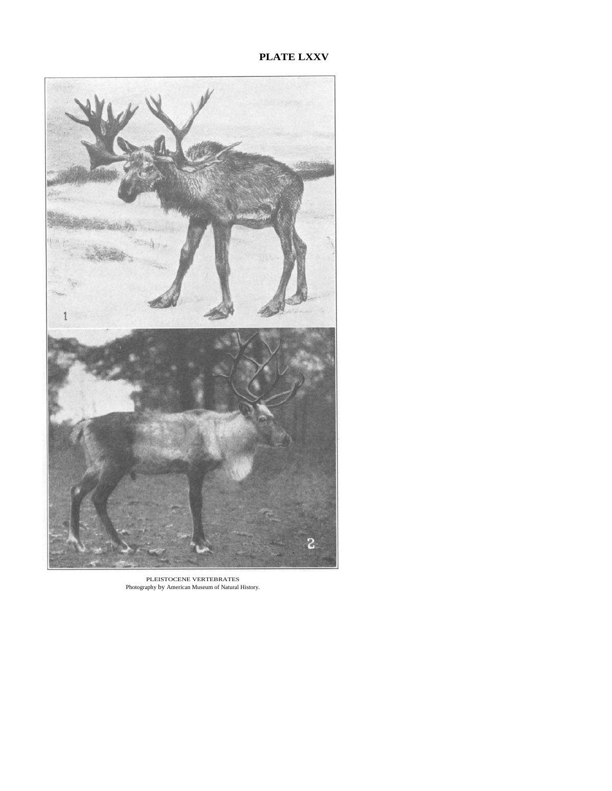## **PLATE LXXV**



PLEISTOCENE VERTEBRATES Photography by American Museum of Natural History.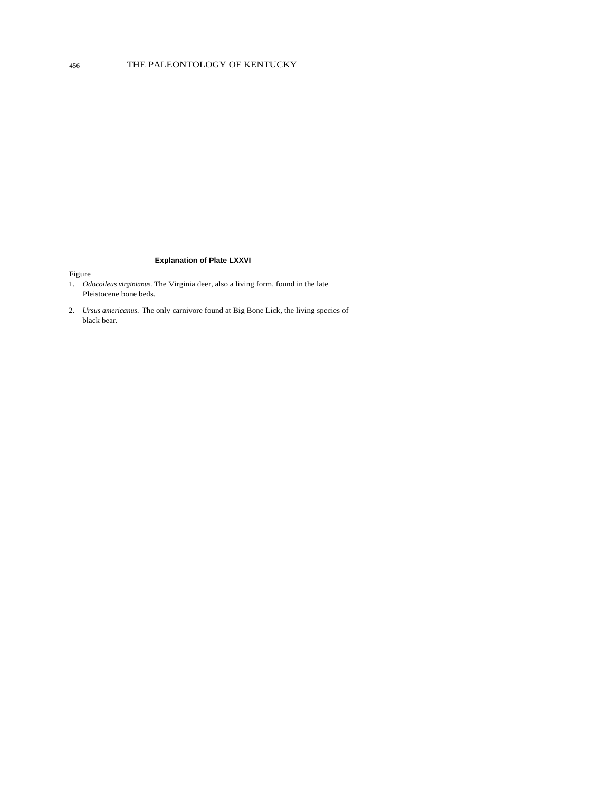## 456 THE PALEONTOLOGY OF KENTUCKY

#### **Explanation of Plate LXXVI**

- 1. *Odocoileus virginianus.* The Virginia deer, also a living form, found in the late Pleistocene bone beds.
- 2. *Ursus americanus.* The only carnivore found at Big Bone Lick, the living species of black bear.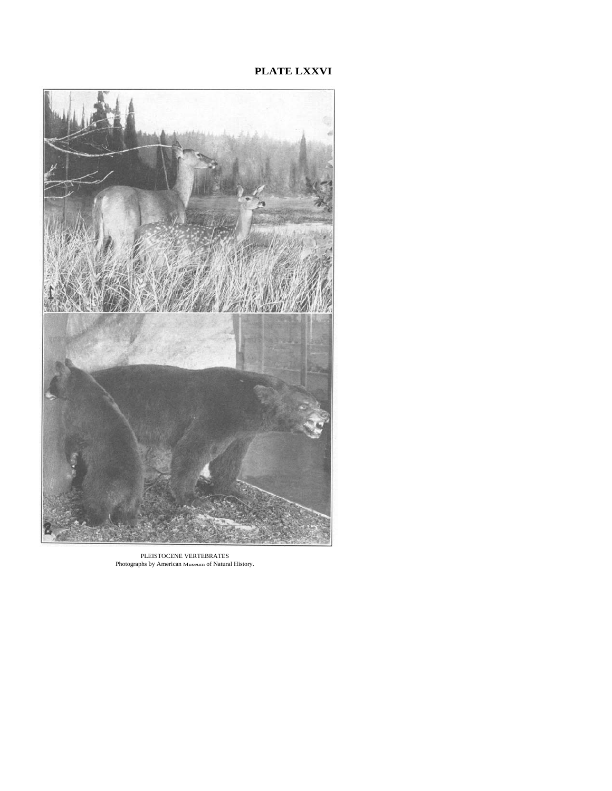## **PLATE LXXVI**



PLEISTOCENE VERTEBRATES Photographs by American Museum of Natural History.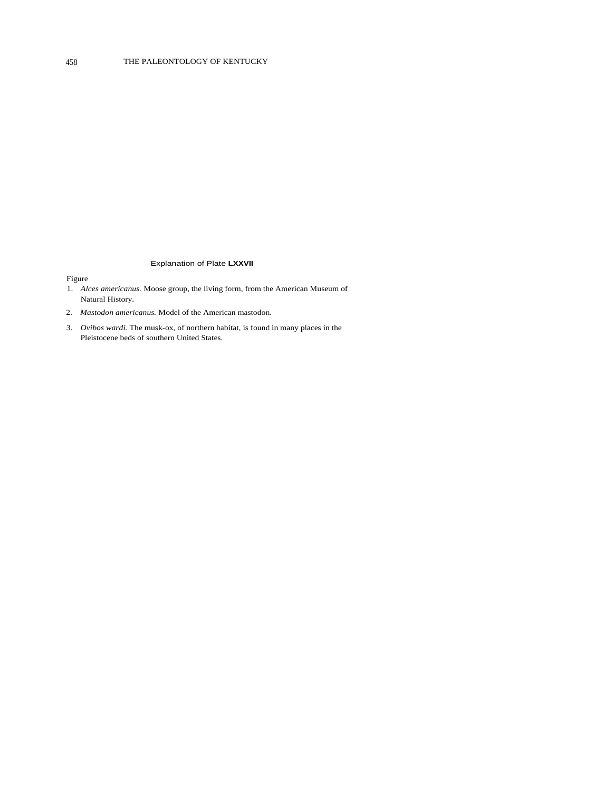#### Explanation of Plate **LXXVII**

- 1. *Alces americanus.* Moose group, the living form, from the American Museum of Natural History.
- 2. *Mastodon americanus.* Model of the American mastodon.
- 3. *Ovibos wardi.* The musk-ox, of northern habitat, is found in many places in the Pleistocene beds of southern United States.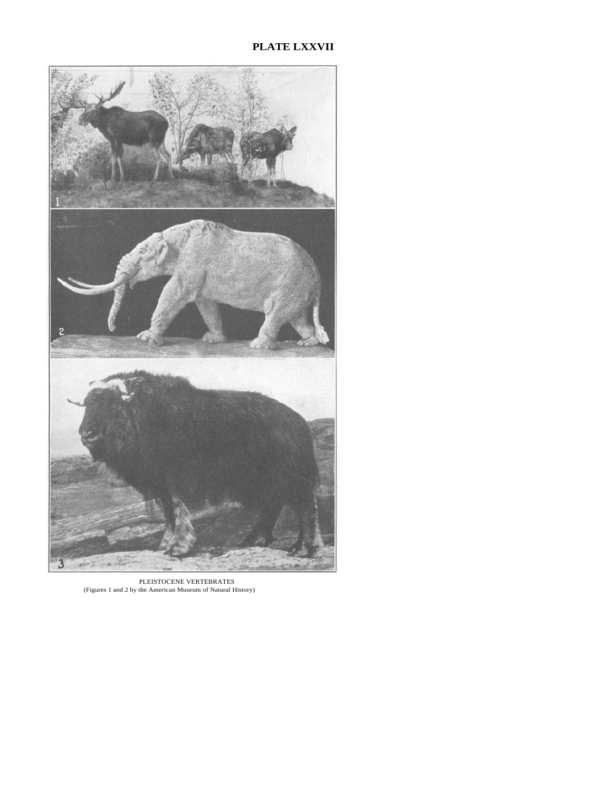# **PLATE LXXVII**



PLEISTOCENE VERTEBRATES (Figures 1 and 2 by the American Museum of Natural History)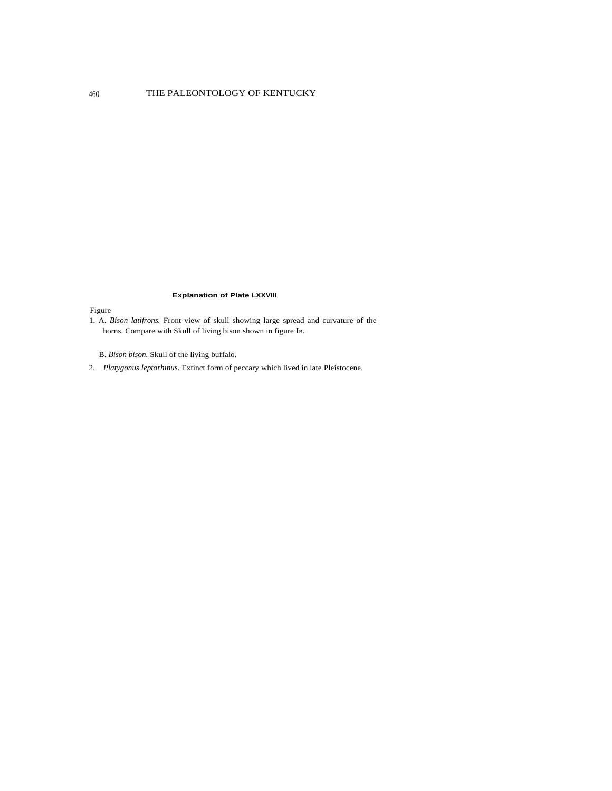## 460 THE PALEONTOLOGY OF KENTUCKY

#### **Explanation of Plate LXXVIII**

### Figure

1. A. *Bison latifrons.* Front view of skull showing large spread and curvature of the horns. Compare with Skull of living bison shown in figure IB.

B. *Bison bison.* Skull of the living buffalo.

2. *Platygonus leptorhinus.* Extinct form of peccary which lived in late Pleistocene.